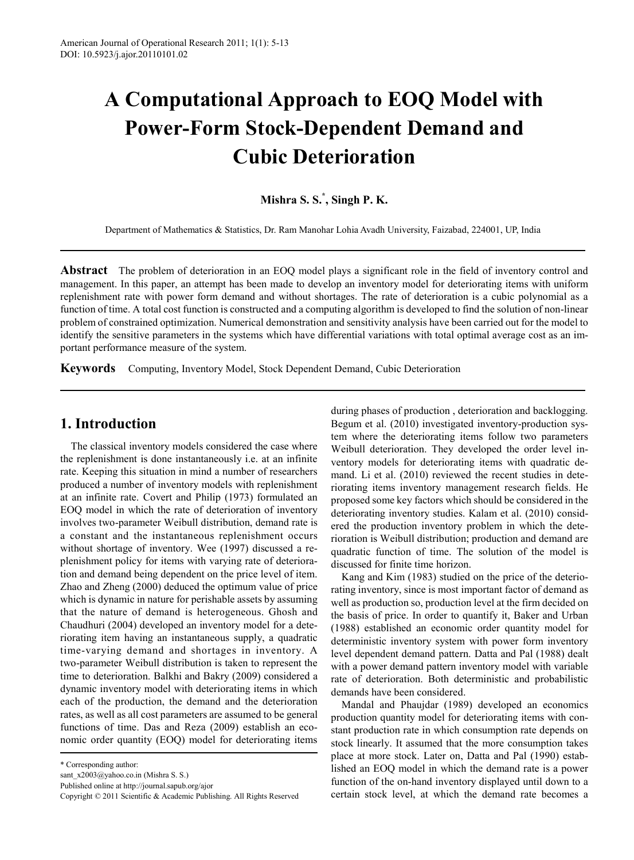# **A Computational Approach to EOQ Model with Power-Form Stock-Dependent Demand and Cubic Deterioration**

**Mishra S. S.\* , Singh P. K.**

Department of Mathematics & Statistics, Dr. Ram Manohar Lohia Avadh University, Faizabad, 224001, UP, India

**Abstract** The problem of deterioration in an EOQ model plays a significant role in the field of inventory control and management. In this paper, an attempt has been made to develop an inventory model for deteriorating items with uniform replenishment rate with power form demand and without shortages. The rate of deterioration is a cubic polynomial as a function of time. A total cost function is constructed and a computing algorithm is developed to find the solution of non-linear problem of constrained optimization. Numerical demonstration and sensitivity analysis have been carried out for the model to identify the sensitive parameters in the systems which have differential variations with total optimal average cost as an important performance measure of the system.

**Keywords** Computing, Inventory Model, Stock Dependent Demand, Cubic Deterioration

## **1. Introduction**

The classical inventory models considered the case where the replenishment is done instantaneously i.e. at an infinite rate. Keeping this situation in mind a number of researchers produced a number of inventory models with replenishment at an infinite rate. Covert and Philip (1973) formulated an EOQ model in which the rate of deterioration of inventory involves two-parameter Weibull distribution, demand rate is a constant and the instantaneous replenishment occurs without shortage of inventory. Wee (1997) discussed a replenishment policy for items with varying rate of deterioration and demand being dependent on the price level of item. Zhao and Zheng (2000) deduced the optimum value of price which is dynamic in nature for perishable assets by assuming that the nature of demand is heterogeneous. Ghosh and Chaudhuri (2004) developed an inventory model for a deteriorating item having an instantaneous supply, a quadratic time-varying demand and shortages in inventory. A two-parameter Weibull distribution is taken to represent the time to deterioration. Balkhi and Bakry (2009) considered a dynamic inventory model with deteriorating items in which each of the production, the demand and the deterioration rates, as well as all cost parameters are assumed to be general functions of time. Das and Reza (2009) establish an economic order quantity (EOQ) model for deteriorating items

during phases of production , deterioration and backlogging. Begum et al. (2010) investigated inventory-production system where the deteriorating items follow two parameters Weibull deterioration. They developed the order level inventory models for deteriorating items with quadratic demand. Li et al. (2010) reviewed the recent studies in deteriorating items inventory management research fields. He proposed some key factors which should be considered in the deteriorating inventory studies. Kalam et al. (2010) considered the production inventory problem in which the deterioration is Weibull distribution; production and demand are quadratic function of time. The solution of the model is discussed for finite time horizon.

Kang and Kim (1983) studied on the price of the deteriorating inventory, since is most important factor of demand as well as production so, production level at the firm decided on the basis of price. In order to quantify it, Baker and Urban (1988) established an economic order quantity model for deterministic inventory system with power form inventory level dependent demand pattern. Datta and Pal (1988) dealt with a power demand pattern inventory model with variable rate of deterioration. Both deterministic and probabilistic demands have been considered.

Mandal and Phaujdar (1989) developed an economics production quantity model for deteriorating items with constant production rate in which consumption rate depends on stock linearly. It assumed that the more consumption takes place at more stock. Later on, Datta and Pal (1990) established an EOQ model in which the demand rate is a power function of the on-hand inventory displayed until down to a certain stock level, at which the demand rate becomes a

<sup>\*</sup> Corresponding author:

sant\_x2003@yahoo.co.in (Mishra S. S.)

Published online at http://journal.sapub.org/ajor

Copyright © 2011 Scientific & Academic Publishing. All Rights Reserved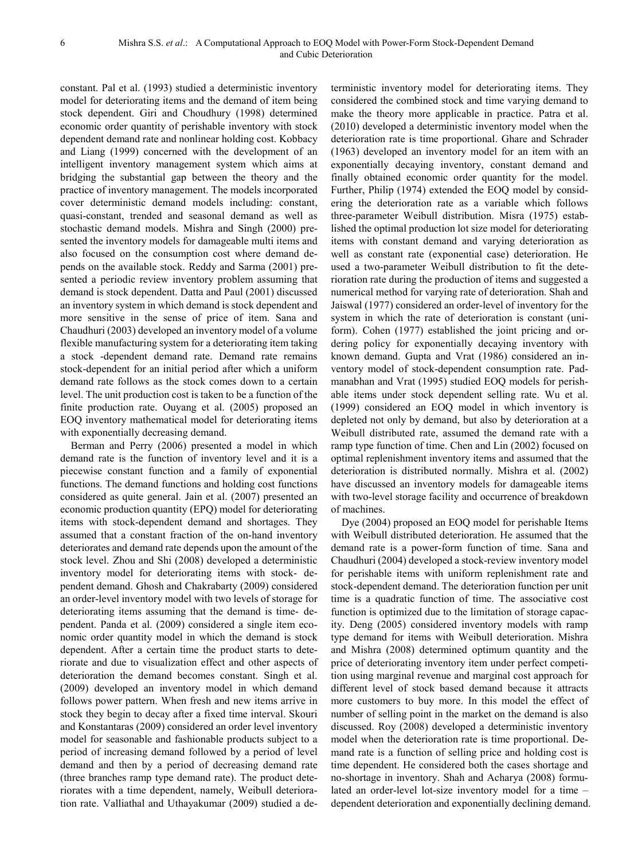constant. Pal et al. (1993) studied a deterministic inventory model for deteriorating items and the demand of item being stock dependent. Giri and Choudhury (1998) determined economic order quantity of perishable inventory with stock dependent demand rate and nonlinear holding cost. Kobbacy and Liang (1999) concerned with the development of an intelligent inventory management system which aims at bridging the substantial gap between the theory and the practice of inventory management. The models incorporated cover deterministic demand models including: constant, quasi-constant, trended and seasonal demand as well as stochastic demand models. Mishra and Singh (2000) presented the inventory models for damageable multi items and also focused on the consumption cost where demand depends on the available stock. Reddy and Sarma (2001) presented a periodic review inventory problem assuming that demand is stock dependent. Datta and Paul (2001) discussed an inventory system in which demand is stock dependent and more sensitive in the sense of price of item. Sana and Chaudhuri (2003) developed an inventory model of a volume flexible manufacturing system for a deteriorating item taking a stock -dependent demand rate. Demand rate remains stock-dependent for an initial period after which a uniform demand rate follows as the stock comes down to a certain level. The unit production cost is taken to be a function of the finite production rate. Ouyang et al. (2005) proposed an EOQ inventory mathematical model for deteriorating items with exponentially decreasing demand.

Berman and Perry (2006) presented a model in which demand rate is the function of inventory level and it is a piecewise constant function and a family of exponential functions. The demand functions and holding cost functions considered as quite general. Jain et al. (2007) presented an economic production quantity (EPQ) model for deteriorating items with stock-dependent demand and shortages. They assumed that a constant fraction of the on-hand inventory deteriorates and demand rate depends upon the amount of the stock level. Zhou and Shi (2008) developed a deterministic inventory model for deteriorating items with stock- dependent demand. Ghosh and Chakrabarty (2009) considered an order-level inventory model with two levels of storage for deteriorating items assuming that the demand is time- dependent. Panda et al. (2009) considered a single item economic order quantity model in which the demand is stock dependent. After a certain time the product starts to deteriorate and due to visualization effect and other aspects of deterioration the demand becomes constant. Singh et al. (2009) developed an inventory model in which demand follows power pattern. When fresh and new items arrive in stock they begin to decay after a fixed time interval. Skouri and Konstantaras (2009) considered an order level inventory model for seasonable and fashionable products subject to a period of increasing demand followed by a period of level demand and then by a period of decreasing demand rate (three branches ramp type demand rate). The product deteriorates with a time dependent, namely, Weibull deterioration rate. Valliathal and Uthayakumar (2009) studied a de-

terministic inventory model for deteriorating items. They considered the combined stock and time varying demand to make the theory more applicable in practice. Patra et al. (2010) developed a deterministic inventory model when the deterioration rate is time proportional. Ghare and Schrader (1963) developed an inventory model for an item with an exponentially decaying inventory, constant demand and finally obtained economic order quantity for the model. Further, Philip (1974) extended the EOQ model by considering the deterioration rate as a variable which follows three-parameter Weibull distribution. Misra (1975) established the optimal production lot size model for deteriorating items with constant demand and varying deterioration as well as constant rate (exponential case) deterioration. He used a two-parameter Weibull distribution to fit the deterioration rate during the production of items and suggested a numerical method for varying rate of deterioration. Shah and Jaiswal (1977) considered an order-level of inventory for the system in which the rate of deterioration is constant (uniform). Cohen (1977) established the joint pricing and ordering policy for exponentially decaying inventory with known demand. Gupta and Vrat (1986) considered an inventory model of stock-dependent consumption rate. Padmanabhan and Vrat (1995) studied EOQ models for perishable items under stock dependent selling rate. Wu et al. (1999) considered an EOQ model in which inventory is depleted not only by demand, but also by deterioration at a Weibull distributed rate, assumed the demand rate with a ramp type function of time. Chen and Lin (2002) focused on optimal replenishment inventory items and assumed that the deterioration is distributed normally. Mishra et al. (2002) have discussed an inventory models for damageable items with two-level storage facility and occurrence of breakdown of machines.

Dye (2004) proposed an EOQ model for perishable Items with Weibull distributed deterioration. He assumed that the demand rate is a power-form function of time. Sana and Chaudhuri (2004) developed a stock-review inventory model for perishable items with uniform replenishment rate and stock-dependent demand. The deterioration function per unit time is a quadratic function of time. The associative cost function is optimized due to the limitation of storage capacity. Deng (2005) considered inventory models with ramp type demand for items with Weibull deterioration. Mishra and Mishra (2008) determined optimum quantity and the price of deteriorating inventory item under perfect competition using marginal revenue and marginal cost approach for different level of stock based demand because it attracts more customers to buy more. In this model the effect of number of selling point in the market on the demand is also discussed. Roy (2008) developed a deterministic inventory model when the deterioration rate is time proportional. Demand rate is a function of selling price and holding cost is time dependent. He considered both the cases shortage and no-shortage in inventory. Shah and Acharya (2008) formulated an order-level lot-size inventory model for a time – dependent deterioration and exponentially declining demand.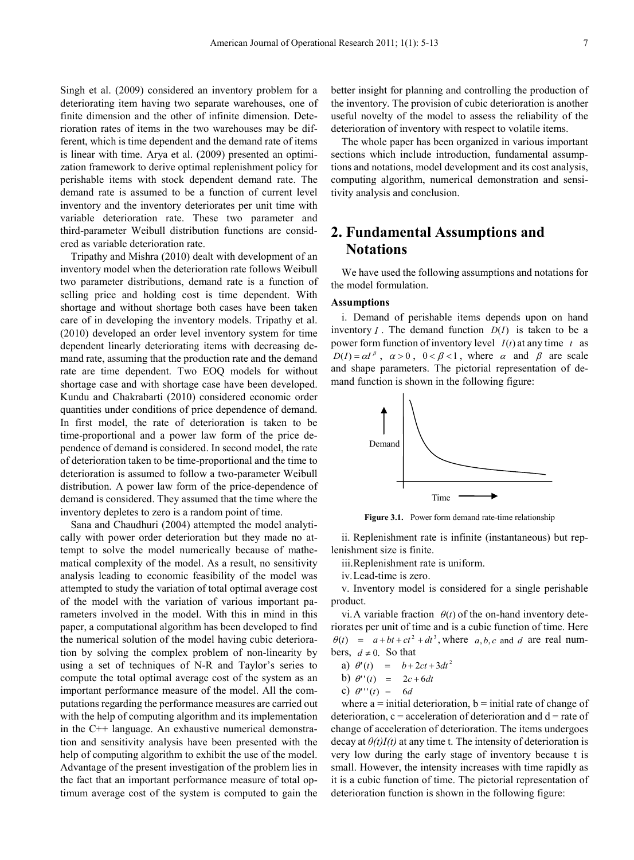Singh et al. (2009) considered an inventory problem for a deteriorating item having two separate warehouses, one of finite dimension and the other of infinite dimension. Deterioration rates of items in the two warehouses may be different, which is time dependent and the demand rate of items is linear with time. Arya et al. (2009) presented an optimization framework to derive optimal replenishment policy for perishable items with stock dependent demand rate. The demand rate is assumed to be a function of current level inventory and the inventory deteriorates per unit time with variable deterioration rate. These two parameter and third-parameter Weibull distribution functions are considered as variable deterioration rate.

Tripathy and Mishra (2010) dealt with development of an inventory model when the deterioration rate follows Weibull two parameter distributions, demand rate is a function of selling price and holding cost is time dependent. With shortage and without shortage both cases have been taken care of in developing the inventory models. Tripathy et al. (2010) developed an order level inventory system for time dependent linearly deteriorating items with decreasing demand rate, assuming that the production rate and the demand rate are time dependent. Two EOQ models for without shortage case and with shortage case have been developed. Kundu and Chakrabarti (2010) considered economic order quantities under conditions of price dependence of demand. In first model, the rate of deterioration is taken to be time-proportional and a power law form of the price dependence of demand is considered. In second model, the rate of deterioration taken to be time-proportional and the time to deterioration is assumed to follow a two-parameter Weibull distribution. A power law form of the price-dependence of demand is considered. They assumed that the time where the inventory depletes to zero is a random point of time.

Sana and Chaudhuri (2004) attempted the model analytically with power order deterioration but they made no attempt to solve the model numerically because of mathematical complexity of the model. As a result, no sensitivity analysis leading to economic feasibility of the model was attempted to study the variation of total optimal average cost of the model with the variation of various important parameters involved in the model. With this in mind in this paper, a computational algorithm has been developed to find the numerical solution of the model having cubic deterioration by solving the complex problem of non-linearity by using a set of techniques of N-R and Taylor's series to compute the total optimal average cost of the system as an important performance measure of the model. All the computations regarding the performance measures are carried out with the help of computing algorithm and its implementation in the C++ language. An exhaustive numerical demonstration and sensitivity analysis have been presented with the help of computing algorithm to exhibit the use of the model. Advantage of the present investigation of the problem lies in the fact that an important performance measure of total optimum average cost of the system is computed to gain the

better insight for planning and controlling the production of the inventory. The provision of cubic deterioration is another useful novelty of the model to assess the reliability of the deterioration of inventory with respect to volatile items.

The whole paper has been organized in various important sections which include introduction, fundamental assumptions and notations, model development and its cost analysis, computing algorithm, numerical demonstration and sensitivity analysis and conclusion.

# **2. Fundamental Assumptions and Notations**

We have used the following assumptions and notations for the model formulation.

#### **Assumptions**

i. Demand of perishable items depends upon on hand inventory *I*. The demand function  $D(I)$  is taken to be a power form function of inventory level *I*(*t*) at any time *t* as  $D(I) = \alpha I^{\beta}$ ,  $\alpha > 0$ ,  $0 < \beta < 1$ , where  $\alpha$  and  $\beta$  are scale and shape parameters. The pictorial representation of demand function is shown in the following figure:



Figure 3.1. Power form demand rate-time relationship

ii. Replenishment rate is infinite (instantaneous) but replenishment size is finite.

iii.Replenishment rate is uniform.

iv.Lead-time is zero.

v. Inventory model is considered for a single perishable product.

vi. A variable fraction  $\theta(t)$  of the on-hand inventory deteriorates per unit of time and is a cubic function of time. Here  $\theta(t) = a + bt + ct^2 + dt^3$ , where *a*, *b*, *c* and *d* are real numbers,  $d \neq 0$ . So that

a) 
$$
\theta'(t) = b + 2ct + 3dt^2
$$

- b)  $\theta''(t) = 2c + 6dt$
- c)  $\theta'''(t) = 6d$

where  $a =$  initial deterioration,  $b =$  initial rate of change of deterioration,  $c = acceleration$  of deterioration and  $d = rate$  of change of acceleration of deterioration. The items undergoes decay at  $\theta(t)I(t)$  at any time t. The intensity of deterioration is very low during the early stage of inventory because t is small. However, the intensity increases with time rapidly as it is a cubic function of time. The pictorial representation of deterioration function is shown in the following figure: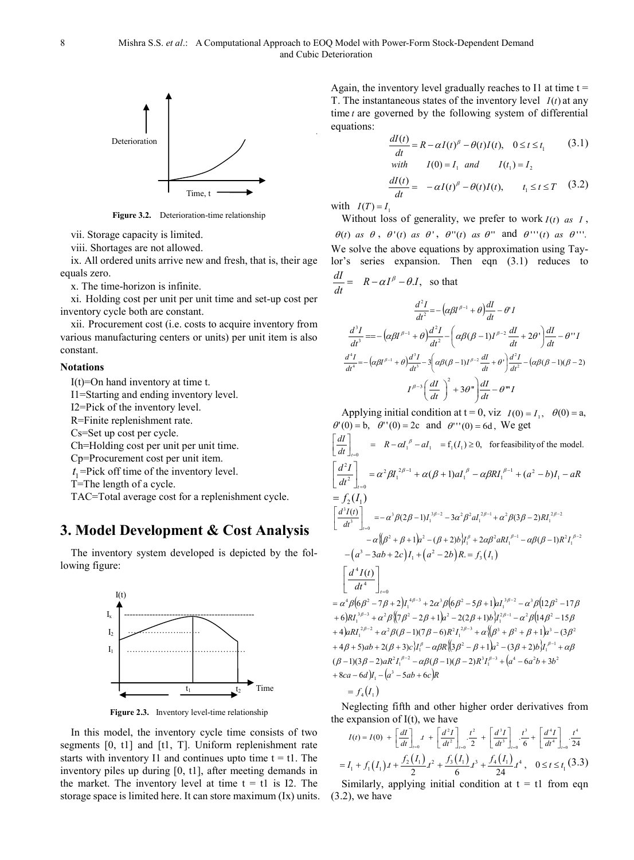

**Figure 3.2.** Deterioration-time relationship

vii. Storage capacity is limited.

viii. Shortages are not allowed.

ix. All ordered units arrive new and fresh, that is, their age equals zero.

x. The time-horizon is infinite.

xi. Holding cost per unit per unit time and set-up cost per inventory cycle both are constant.

xii. Procurement cost (i.e. costs to acquire inventory from various manufacturing centers or units) per unit item is also constant.

#### **Notations**

I(t)=On hand inventory at time t.

I1=Starting and ending inventory level.

I2=Pick of the inventory level.

R=Finite replenishment rate.

Cs=Set up cost per cycle.

Ch=Holding cost per unit per unit time.

Cp=Procurement cost per unit item.

 $t_1$ =Pick off time of the inventory level.

T=The length of a cycle.

TAC=Total average cost for a replenishment cycle.

#### **3. Model Development & Cost Analysis**

The inventory system developed is depicted by the following figure:



**Figure 2.3.** Inventory level-time relationship

In this model, the inventory cycle time consists of two segments [0, t1] and [t1, T]. Uniform replenishment rate starts with inventory I1 and continues upto time  $t = t1$ . The inventory piles up during [0, t1], after meeting demands in the market. The inventory level at time  $t = t1$  is I2. The storage space is limited here. It can store maximum (Ix) units.

Again, the inventory level gradually reaches to I1 at time  $t =$ T. The instantaneous states of the inventory level *I*(*t*) at any time *t* are governed by the following system of differential equations:

$$
\frac{dI(t)}{dt} = R - \alpha I(t)^{\beta} - \theta(t)I(t), \quad 0 \le t \le t_1
$$
\n
$$
\begin{aligned}\n\text{with} \qquad I(0) &= I_1 \quad \text{and} \qquad I(t_1) = I_2 \\
\frac{dI(t)}{dt} &= -\alpha I(t)^{\beta} - \theta(t)I(t), \qquad t_1 \le t \le T\n\end{aligned}
$$
\n
$$
\tag{3.2}
$$

with  $I(T) = I_1$ 

Without loss of generality, we prefer to work  $I(t)$  *as*  $I$ , θ(*t*) *as*  $\theta$ ,  $\theta'(t)$  *as*  $\theta'$ ,  $\theta''(t)$  *as*  $\theta''$  and  $\theta'''(t)$  *as*  $\theta'''$ . We solve the above equations by approximation using Taylor's series expansion. Then eqn (3.1) reduces to

$$
\frac{dI}{dt} = R - \alpha I^{\beta} - \theta.I, \text{ so that}
$$
\n
$$
\frac{d^{2}I}{dt^{2}} = -(\alpha\beta I^{\beta-1} + \theta)\frac{dI}{dt} - \theta'I
$$
\n
$$
\frac{d^{3}I}{dt^{3}} = -(\alpha\beta I^{\beta-1} + \theta)\frac{d^{2}I}{dt^{2}} - (\alpha\beta(\beta-1)I^{\beta-2}\frac{dI}{dt} + 2\theta')\frac{dI}{dt} - \theta''I
$$
\n
$$
\frac{d^{4}I}{dt^{4}} = -(\alpha\beta I^{\beta-1} + \theta)\frac{d^{3}I}{dt^{3}} - 3(\alpha\beta(\beta-1)I^{\beta-2}\frac{dI}{dt} + \theta')\frac{d^{2}I}{dt^{2}} - (\alpha\beta(\beta-1)(\beta-2)I^{\beta-3}\left(\frac{dI}{dt}\right)^{2} + 3\theta''\frac{dI}{dt} - \theta'''I
$$

Applying initial condition at  $t = 0$ , viz  $I(0) = I_1$ ,  $\theta(0) = a$ ,  $\theta'(0) = b$ ,  $\theta''(0) = 2c$  and  $\theta'''(0) = 6d$ , We get

$$
\begin{aligned}\n\left[\frac{dI}{dt}\right]_{t=0} &= R - \alpha I_1^{\beta} - aI_1 = f_1(I_1) \ge 0, \text{ for feasibility of the model.} \\
\left[\frac{d^2I}{dt^2}\right]_{t=0} &= \alpha^2 \beta I_1^{2\beta-1} + \alpha(\beta+1)aI_1^{\beta} - \alpha\beta RI_1^{\beta-1} + (a^2-b)I_1 - aR \\
&= f_2(I_1) \\
\left[\frac{d^3I(t)}{dt^3}\right]_{t=0} &= -\alpha^3 \beta(2\beta-1)I_1^{3\beta-2} - 3\alpha^2 \beta^2 aI_1^{2\beta-1} + \alpha^2 \beta(3\beta-2)RI_1^{2\beta-2} \\
&- \alpha\left(\beta^2 + \beta + 1\right)a^2 - (\beta+2)bI_1^{\beta} + 2\alpha\beta^2 aRI_1^{\beta-1} - \alpha\beta(\beta-1)R^2I_1^{\beta-2} \\
&- \left(a^3 - 3ab + 2c\right)I_1 + \left(a^2 - 2b\right)R = f_3(I_1) \\
\left[\frac{d^4I(t)}{dt^4}\right]_{t=0} \\
&= \alpha^4 \beta(6\beta^2 - 7\beta + 2)I_1^{4\beta-3} + 2\alpha^3 \beta(6\beta^2 - 5\beta + 1)aI_1^{3\beta-2} - \alpha^3 \beta(12\beta^2 - 17\beta + 6)RI_1^{3\beta-3} + \alpha^2 \beta(7\beta^2 - 2\beta + 1)a^2 - 2(2\beta + 1)bI_1^{3\beta-1} - \alpha^2 \beta(14\beta^2 - 15\beta + 4)aRI_1^{2\beta-2} + \alpha^2 \beta(\beta-1)(7\beta-6)R^2I_1^{2\beta-3} + \alpha\left(\beta^3 + \beta^2 + \beta + 1\right)a^3 - (3\beta^2 + 4\beta + 5)ab + 2(\beta + 3)cI_1^{\beta} - \alpha\beta R\left(\beta\beta^2 - \beta + 1\right)a^2 - (3\beta + 2)bI_1^{\beta-1} + \alpha\beta \\
(\beta-1)(3\beta-2)aR^2I_1^{\beta-2} - \alpha\beta(\beta-1)(\beta-2
$$

Neglecting fifth and other higher order derivatives from the expansion of  $I(t)$ , we have

$$
I(t) = I(0) + \left[\frac{dI}{dt}\right]_{t=0} t + \left[\frac{d^2I}{dt^2}\right]_{t=0} \frac{t^2}{2} + \left[\frac{d^3I}{dt^3}\right]_{t=0} \frac{t^3}{6} + \left[\frac{d^4I}{dt^4}\right]_{t=0} \frac{t^4}{24}
$$

$$
= I_1 + f_1(I_1) t + \frac{f_2(I_1)}{2} t^2 + \frac{f_3(I_1)}{6} t^3 + \frac{f_4(I_1)}{24} t^4, \quad 0 \le t \le t_1 \tag{3.3}
$$

Similarly, applying initial condition at  $t = t1$  from eqn (3.2), we have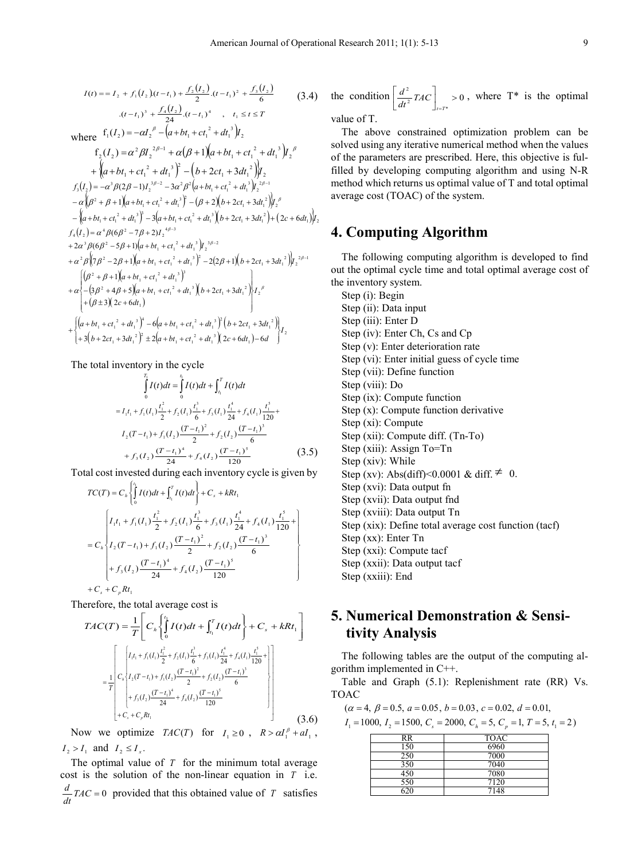$$
I(t) = I_2 + f_1(I_2)(t - t_1) + \frac{f_2(I_2)}{2}(t - t_1)^2 + \frac{f_3(I_2)}{6}
$$
(3.4)  
\n
$$
(t - t_1)^3 + \frac{f_4(I_2)}{24}(t - t_1)^4, t_1 \le t \le T
$$
  
\nwhere  $f_1(I_2) = -\alpha I_2{}^{\beta} - (\alpha + bt_1 + ct_1{}^2 + dt_1{}^3)I_2$   
\n $f_2(I_2) = \alpha^2 \beta I_2{}^{2\beta-1} + \alpha(\beta + 1)(\alpha + bt_1 + ct_1{}^2 + dt_1{}^3)I_2{}^{\beta}$   
\n $+ \left\{ (\alpha + bt_1 + ct_1{}^2 + dt_1{}^3)^2 - (b + 2ct_1 + 3dt_1{}^2)I_2 \right\}$   
\n $f_3(I_2) = -\alpha^3 \beta(2\beta - 1)I_2{}^{3\beta-2} - 3\alpha^2 \beta^2(\alpha + bt_1 + ct_1{}^2 + dt_1{}^3)I_2{}^{2\beta-1}$   
\n $- \alpha \left( \beta^2 + \beta + 1 \right) (\alpha + bt_1 + ct_1{}^2 + dt_1{}^3)^2 - (\beta + 2)(b + 2ct_1 + 3dt_1{}^2)I_2{}^{\beta}$   
\n $- \left( \alpha + bt_1 + ct_1{}^2 + dt_1{}^3 \right)^3 - 3(\alpha + bt_1 + ct_1{}^2 + dt_1{}^3)(b + 2ct_1 + 3dt_1{}^2) + (2c + 6dt_1)I_2{}^2$   
\n $f_4(I_2) = \alpha^4 \beta(6\beta^2 - 7\beta + 2)I_2{}^{4\beta-3}$   
\n $+ 2\alpha^3 \beta(6\beta^2 - 5\beta + 1)(\alpha + bt_1 + ct_1{}^2 + dt_1{}^3)I_2{}^{3\beta-2}$   
\n $+ \alpha^2 \beta \left(7\beta^2 - 2\beta + 1 \right) (\alpha + bt_1 + ct_1{}^2 + dt_1{}^3)I_2{}^{3\beta-2}$   
\n $+ \alpha^2 \beta \left(7\beta^2 - 2\beta + 1 \right$ 

The total inventory in the cycle

$$
\int_{0}^{T_{1}} I(t)dt = \int_{0}^{i} I(t)dt + \int_{t_{1}}^{T} I(t)dt
$$
\n
$$
= I_{1}t_{1} + f_{1}(I_{1})\frac{t_{1}^{2}}{2} + f_{2}(I_{1})\frac{t_{1}^{3}}{6} + f_{3}(I_{1})\frac{t_{1}^{4}}{24} + f_{4}(I_{1})\frac{t_{1}^{5}}{120} +
$$
\n
$$
I_{2}(T-t_{1}) + f_{1}(I_{2})\frac{(T-t_{1})^{2}}{2} + f_{2}(I_{2})\frac{(T-t_{1})^{3}}{6}
$$
\n
$$
+ f_{3}(I_{2})\frac{(T-t_{1})^{4}}{24} + f_{4}(I_{2})\frac{(T-t_{1})^{5}}{120}
$$
\n(3.5)

Total cost invested during each inventory cycle is given by

$$
TC(T) = C_{h} \left\{ \int_{0}^{t_{1}} I(t)dt + \int_{t_{1}}^{T} I(t)dt \right\} + C_{s} + kRt_{1}
$$
\n
$$
= C_{h} \left\{ I_{1}t_{1} + f_{1}(I_{1}) \frac{t_{1}^{2}}{2} + f_{2}(I_{1}) \frac{t_{1}^{3}}{6} + f_{3}(I_{1}) \frac{t_{1}^{4}}{24} + f_{4}(I_{1}) \frac{t_{1}^{5}}{120} + \right\}
$$
\n
$$
= C_{h} \left\{ I_{2}(T - t_{1}) + f_{1}(I_{2}) \frac{(T - t_{1})^{2}}{2} + f_{2}(I_{2}) \frac{(T - t_{1})^{3}}{6} + f_{3}(I_{2}) \frac{(T - t_{1})^{4}}{24} + f_{4}(I_{2}) \frac{(T - t_{1})^{5}}{120} + C_{s} + C_{p} Rt_{1} \right\}
$$

Therefore, the total average cost is

$$
TAC(T) = \frac{1}{T} \left[ C_h \left\{ \int_0^t I(t)dt + \int_{t_1}^T I(t)dt \right\} + C_s + kRt_1 \right]
$$
  

$$
= \frac{1}{T} \left[ C_h \left\{ \int_0^t I(t)dt + \int_{t_1}^T I(t)dt \right\} + C_s + kRt_1 \right]
$$
  

$$
= \frac{1}{T} \left[ C_h \left\{ I_1(t-t_1) + f_1(I_2) \frac{(T-t_1)^2}{2} + f_2(I_2) \frac{(T-t_1)^2}{6} + \int_{0}^T I_2(t-t_1)dt \right\} + f_3(I_2) \frac{(T-t_1)^4}{24} + f_4(I_2) \frac{(T-t_1)^5}{120} + \int_{0}^T I_2(t-t_1)dt + C_s + C_p Rt_1 \right]
$$
(3.6)

Now we optimize  $TAC(T)$  for  $I_1 \ge 0$ ,  $R > \alpha I_1^{\beta} + aI_1$ ,  $I_2 > I_1$  and  $I_2 \leq I_x$ .

The optimal value of *T* for the minimum total average cost is the solution of the non-linear equation in *T* i.e.  $\frac{d}{dt} TAC = 0$  provided that this obtained value of *T* satisfies

the condition 
$$
\left[\frac{d^2}{dt^2}TAC\right]_{t=T^*}>0
$$
, where  $T^*$  is the optimal

value of T.

The above constrained optimization problem can be solved using any iterative numerical method when the values of the parameters are prescribed. Here, this objective is fulfilled by developing computing algorithm and using N-R method which returns us optimal value of T and total optimal average cost (TOAC) of the system.

# **4. Computing Algorithm**

The following computing algorithm is developed to find out the optimal cycle time and total optimal average cost of the inventory system.

Step (i): Begin Step (ii): Data input Step (iii): Enter D Step (iv): Enter Ch, Cs and Cp Step (v): Enter deterioration rate Step (vi): Enter initial guess of cycle time Step (vii): Define function Step (viii): Do Step (ix): Compute function Step (x): Compute function derivative Step (xi): Compute Step (xii): Compute diff. (Tn-To) Step (xiii): Assign To=Tn Step (xiv): While Step (xv): Abs(diff)<0.0001 & diff.  $\neq$  0. Step (xvi): Data output fn Step (xvii): Data output fnd Step (xviii): Data output Tn Step (xix): Define total average cost function (tacf) Step (xx): Enter Tn Step (xxi): Compute tacf Step (xxii): Data output tacf Step (xxiii): End

# **5. Numerical Demonstration & Sensitivity Analysis**

The following tables are the output of the computing algorithm implemented in C++.

Table and Graph (5.1): Replenishment rate (RR) Vs. TOAC

 $(\alpha = 4, \beta = 0.5, \alpha = 0.05, \beta = 0.03, \gamma = 0.02, \gamma = 0.01,$ 

$$
I_1 = 1000
$$
,  $I_2 = 1500$ ,  $C_s = 2000$ ,  $C_h = 5$ ,  $C_p = 1$ ,  $T = 5$ ,  $t_1 = 2$ 

| RR  | <b>TOAC</b> |
|-----|-------------|
| 150 | 6960        |
| 250 | 7000        |
| 350 | 7040        |
| 450 | 7080        |
| 550 | 7120        |
| ລາດ | 7148        |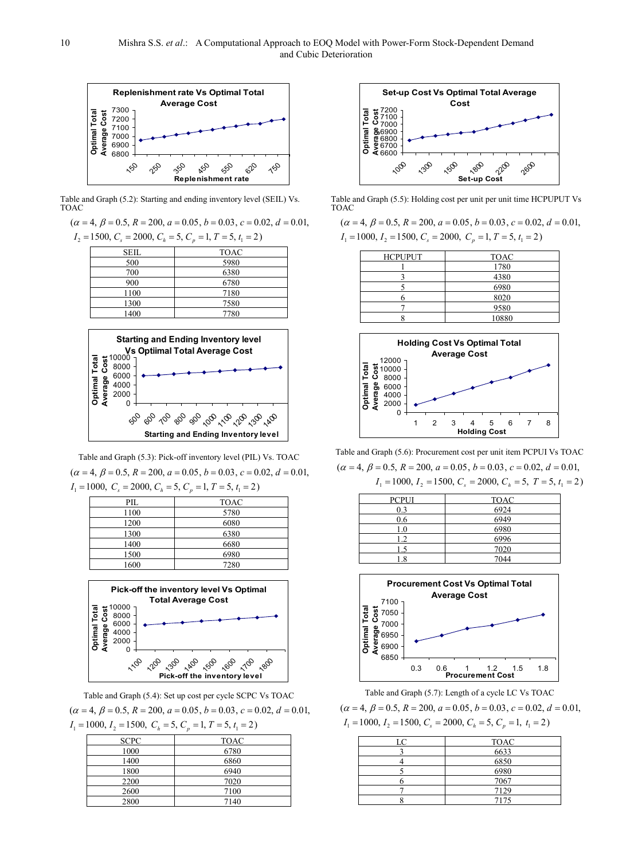

Table and Graph (5.2): Starting and ending inventory level (SEIL) Vs. TOAC

 $(\alpha = 4, \beta = 0.5, R = 200, a = 0.05, b = 0.03, c = 0.02, d = 0.01,$ 

 $I_2 = 1500, C_s = 2000, C_h = 5, C_p = 1, T = 5, t_1 = 2$ 

| SEIL | <b>TOAC</b> |
|------|-------------|
| 500  | 5980        |
| 700  | 6380        |
| 900  | 6780        |
| 1100 | 7180        |
| 1300 | 7580        |
| 1400 | 7780        |



Table and Graph (5.3): Pick-off inventory level (PIL) Vs. TOAC  $I_1 = 1000, C_s = 2000, C_h = 5, C_p = 1, T = 5, t_1 = 2$  $(\alpha = 4, \beta = 0.5, R = 200, a = 0.05, b = 0.03, c = 0.02, d = 0.01,$ 

| <b>TOAC</b> |
|-------------|
| 5780        |
| 6080        |
| 6380        |
| 6680        |
| 6980        |
| 7280        |
|             |



Table and Graph (5.4): Set up cost per cycle SCPC Vs TOAC  $(\alpha = 4, \beta = 0.5, R = 200, a = 0.05, b = 0.03, c = 0.02, d = 0.01,$ 

| $I_1 = 1000$ , $I_2 = 1500$ , $C_h = 5$ , $C_p = 1$ , $T = 5$ , $t_1 = 2$ ) |      |
|-----------------------------------------------------------------------------|------|
| <b>SCPC</b>                                                                 | TOAC |
| 1000                                                                        | 6780 |
| 1400                                                                        | 6860 |
| 1800                                                                        | 6940 |
| 2200                                                                        | 7020 |
| 2600                                                                        | 7100 |

2800 7140



Table and Graph (5.5): Holding cost per unit per unit time HCPUPUT Vs TOAC

 $I_1 = 1000, I_2 = 1500, C_s = 2000, C_p = 1, T = 5, t_1 = 2$  $(\alpha = 4, \beta = 0.5, R = 200, a = 0.05, b = 0.03, c = 0.02, d = 0.01,$ 

| <b>HCPUPUT</b> | <b>TOAC</b> |
|----------------|-------------|
|                | 1780        |
|                | 4380        |
|                | 6980        |
|                | 8020        |
|                | 9580        |
|                | 10880       |



Table and Graph (5.6): Procurement cost per unit item PCPUI Vs TOAC  $I_1 = 1000, I_2 = 1500, C_s = 2000, C_h = 5, T = 5, t_1 = 2$  $(\alpha = 4, \beta = 0.5, R = 200, a = 0.05, b = 0.03, c = 0.02, d = 0.01,$ 

| <b>PCPUI</b> | <b>TOAC</b> |
|--------------|-------------|
| 0.3          | 6924        |
| 0.6          | 6949        |
| 1.0          | 6980        |
| 12           | 6996        |
| 1.5          | 7020        |
| .8           | 7044        |



Table and Graph (5.7): Length of a cycle LC Vs TOAC  $I_1 = 1000, I_2 = 1500, C_s = 2000, C_h = 5, C_p = 1, t_1 = 2$  $(\alpha = 4, \beta = 0.5, R = 200, a = 0.05, b = 0.03, c = 0.02, d = 0.01,$ 

| <b>TOAC</b><br>LC<br>6633<br>6850<br>6980<br>7067<br>7129 |      |
|-----------------------------------------------------------|------|
|                                                           |      |
|                                                           |      |
|                                                           |      |
|                                                           |      |
|                                                           |      |
|                                                           |      |
|                                                           | 7175 |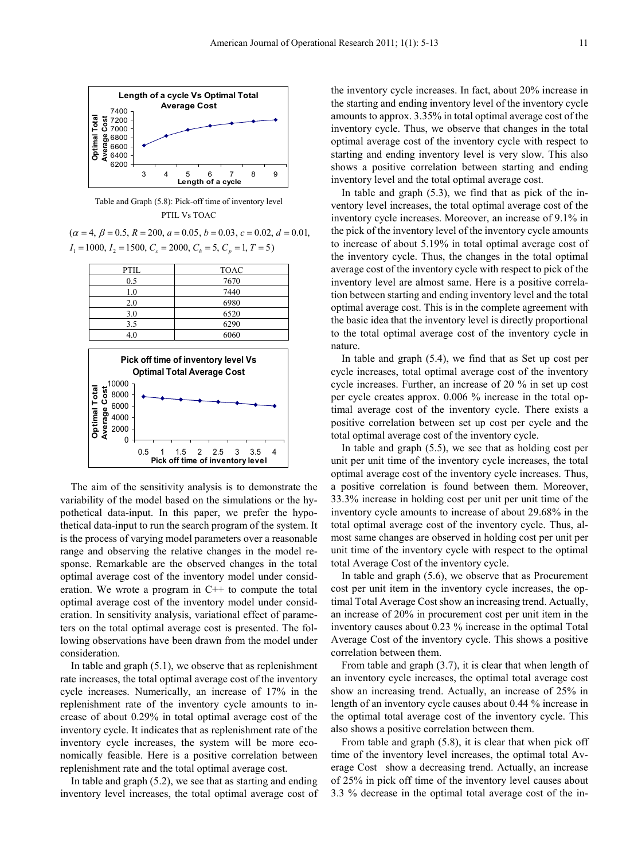

Table and Graph (5.8): Pick-off time of inventory level PTIL Vs TOAC

 $I_1 = 1000, I_2 = 1500, C_s = 2000, C_h = 5, C_p = 1, T = 5$  $(\alpha = 4, \beta = 0.5, R = 200, a = 0.05, b = 0.03, c = 0.02, d = 0.01,$ 

| PTIL                                                                     | <b>TOAC</b> |
|--------------------------------------------------------------------------|-------------|
| 0.5                                                                      | 7670        |
| 1.0                                                                      | 7440        |
| 2.0                                                                      | 6980        |
| 3.0                                                                      | 6520        |
| 3.5                                                                      | 6290        |
| 4.0                                                                      | 6060        |
| Pick off time of inventory level Vs<br><b>Optimal Total Average Cost</b> |             |



The aim of the sensitivity analysis is to demonstrate the variability of the model based on the simulations or the hypothetical data-input. In this paper, we prefer the hypothetical data-input to run the search program of the system. It is the process of varying model parameters over a reasonable range and observing the relative changes in the model response. Remarkable are the observed changes in the total optimal average cost of the inventory model under consideration. We wrote a program in  $C++$  to compute the total optimal average cost of the inventory model under consideration. In sensitivity analysis, variational effect of parameters on the total optimal average cost is presented. The following observations have been drawn from the model under consideration.

In table and graph (5.1), we observe that as replenishment rate increases, the total optimal average cost of the inventory cycle increases. Numerically, an increase of 17% in the replenishment rate of the inventory cycle amounts to increase of about 0.29% in total optimal average cost of the inventory cycle. It indicates that as replenishment rate of the inventory cycle increases, the system will be more economically feasible. Here is a positive correlation between replenishment rate and the total optimal average cost.

In table and graph (5.2), we see that as starting and ending inventory level increases, the total optimal average cost of

the inventory cycle increases. In fact, about 20% increase in the starting and ending inventory level of the inventory cycle amounts to approx. 3.35% in total optimal average cost of the inventory cycle. Thus, we observe that changes in the total optimal average cost of the inventory cycle with respect to starting and ending inventory level is very slow. This also shows a positive correlation between starting and ending inventory level and the total optimal average cost.

In table and graph (5.3), we find that as pick of the inventory level increases, the total optimal average cost of the inventory cycle increases. Moreover, an increase of 9.1% in the pick of the inventory level of the inventory cycle amounts to increase of about 5.19% in total optimal average cost of the inventory cycle. Thus, the changes in the total optimal average cost of the inventory cycle with respect to pick of the inventory level are almost same. Here is a positive correlation between starting and ending inventory level and the total optimal average cost. This is in the complete agreement with the basic idea that the inventory level is directly proportional to the total optimal average cost of the inventory cycle in nature.

In table and graph (5.4), we find that as Set up cost per cycle increases, total optimal average cost of the inventory cycle increases. Further, an increase of 20 % in set up cost per cycle creates approx. 0.006 % increase in the total optimal average cost of the inventory cycle. There exists a positive correlation between set up cost per cycle and the total optimal average cost of the inventory cycle.

In table and graph (5.5), we see that as holding cost per unit per unit time of the inventory cycle increases, the total optimal average cost of the inventory cycle increases. Thus, a positive correlation is found between them. Moreover, 33.3% increase in holding cost per unit per unit time of the inventory cycle amounts to increase of about 29.68% in the total optimal average cost of the inventory cycle. Thus, almost same changes are observed in holding cost per unit per unit time of the inventory cycle with respect to the optimal total Average Cost of the inventory cycle.

In table and graph (5.6), we observe that as Procurement cost per unit item in the inventory cycle increases, the optimal Total Average Cost show an increasing trend. Actually, an increase of 20% in procurement cost per unit item in the inventory causes about 0.23 % increase in the optimal Total Average Cost of the inventory cycle. This shows a positive correlation between them.

From table and graph (3.7), it is clear that when length of an inventory cycle increases, the optimal total average cost show an increasing trend. Actually, an increase of 25% in length of an inventory cycle causes about 0.44 % increase in the optimal total average cost of the inventory cycle. This also shows a positive correlation between them.

From table and graph (5.8), it is clear that when pick off time of the inventory level increases, the optimal total Average Cost show a decreasing trend. Actually, an increase of 25% in pick off time of the inventory level causes about 3.3 % decrease in the optimal total average cost of the in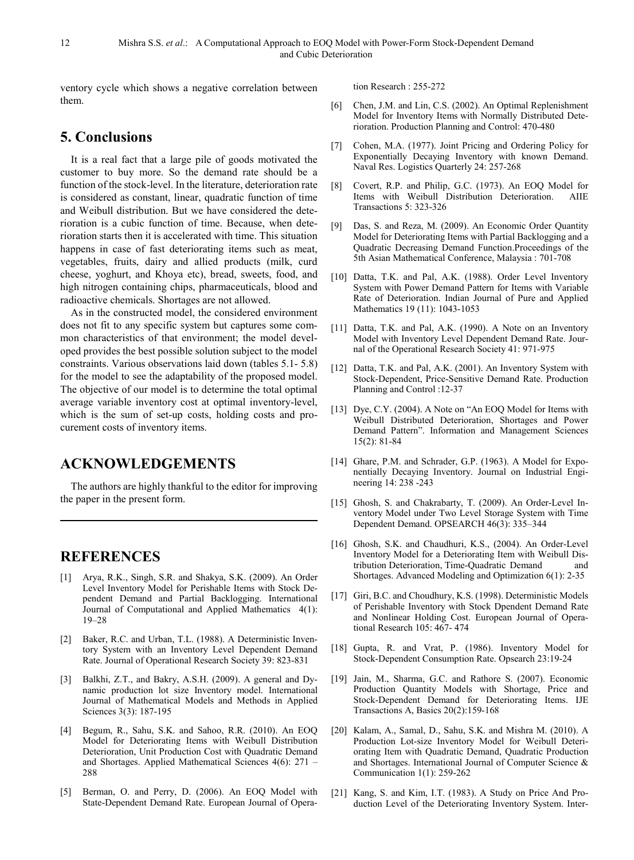ventory cycle which shows a negative correlation between them.

## **5. Conclusions**

It is a real fact that a large pile of goods motivated the customer to buy more. So the demand rate should be a function of the stock-level. In the literature, deterioration rate is considered as constant, linear, quadratic function of time and Weibull distribution. But we have considered the deterioration is a cubic function of time. Because, when deterioration starts then it is accelerated with time. This situation happens in case of fast deteriorating items such as meat, vegetables, fruits, dairy and allied products (milk, curd cheese, yoghurt, and Khoya etc), bread, sweets, food, and high nitrogen containing chips, pharmaceuticals, blood and radioactive chemicals. Shortages are not allowed.

As in the constructed model, the considered environment does not fit to any specific system but captures some common characteristics of that environment; the model developed provides the best possible solution subject to the model constraints. Various observations laid down (tables 5.1- 5.8) for the model to see the adaptability of the proposed model. The objective of our model is to determine the total optimal average variable inventory cost at optimal inventory-level, which is the sum of set-up costs, holding costs and procurement costs of inventory items.

## **ACKNOWLEDGEMENTS**

The authors are highly thankful to the editor for improving the paper in the present form.

## **REFERENCES**

- [1] Arya, R.K., Singh, S.R. and Shakya, S.K. (2009). An Order Level Inventory Model for Perishable Items with Stock Dependent Demand and Partial Backlogging. International Journal of Computational and Applied Mathematics 4(1): 19–28
- [2] Baker, R.C. and Urban, T.L. (1988). A Deterministic Inventory System with an Inventory Level Dependent Demand Rate. Journal of Operational Research Society 39: 823-831
- [3] Balkhi, Z.T., and Bakry, A.S.H. (2009). A general and Dynamic production lot size Inventory model. International Journal of Mathematical Models and Methods in Applied Sciences 3(3): 187-195
- [4] Begum, R., Sahu, S.K. and Sahoo, R.R. (2010). An EOQ Model for Deteriorating Items with Weibull Distribution Deterioration, Unit Production Cost with Quadratic Demand and Shortages. Applied Mathematical Sciences 4(6): 271 – 288
- [5] Berman, O. and Perry, D. (2006). An EOQ Model with State-Dependent Demand Rate. European Journal of Opera-

tion Research : 255-272

- [6] Chen, J.M. and Lin, C.S. (2002). An Optimal Replenishment Model for Inventory Items with Normally Distributed Deterioration. Production Planning and Control: 470-480
- [7] Cohen, M.A. (1977). Joint Pricing and Ordering Policy for Exponentially Decaying Inventory with known Demand. Naval Res. Logistics Quarterly 24: 257-268
- [8] Covert, R.P. and Philip, G.C. (1973). An EOQ Model for Items with Weibull Distribution Deterioration. AIIE Transactions 5: 323-326
- [9] Das, S. and Reza, M. (2009). An Economic Order Quantity Model for Deteriorating Items with Partial Backlogging and a Quadratic Decreasing Demand Function.Proceedings of the 5th Asian Mathematical Conference, Malaysia : 701-708
- [10] Datta, T.K. and Pal, A.K. (1988). Order Level Inventory System with Power Demand Pattern for Items with Variable Rate of Deterioration. Indian Journal of Pure and Applied Mathematics 19 (11): 1043-1053
- [11] Datta, T.K. and Pal, A.K. (1990). A Note on an Inventory Model with Inventory Level Dependent Demand Rate. Journal of the Operational Research Society 41: 971-975
- [12] Datta, T.K. and Pal, A.K. (2001). An Inventory System with Stock-Dependent, Price-Sensitive Demand Rate. Production Planning and Control :12-37
- [13] Dye, C.Y. (2004). A Note on "An EOQ Model for Items with Weibull Distributed Deterioration, Shortages and Power Demand Pattern". Information and Management Sciences 15(2): 81-84
- [14] Ghare, P.M. and Schrader, G.P. (1963). A Model for Exponentially Decaying Inventory. Journal on Industrial Engineering 14: 238 -243
- [15] Ghosh, S. and Chakrabarty, T. (2009). An Order-Level Inventory Model under Two Level Storage System with Time Dependent Demand. OPSEARCH 46(3): 335–344
- [16] Ghosh, S.K. and Chaudhuri, K.S., (2004). An Order-Level Inventory Model for a Deteriorating Item with Weibull Distribution Deterioration, Time-Quadratic Demand and Shortages. Advanced Modeling and Optimization 6(1): 2-35
- [17] Giri, B.C. and Choudhury, K.S. (1998). Deterministic Models of Perishable Inventory with Stock Dpendent Demand Rate and Nonlinear Holding Cost. European Journal of Operational Research 105: 467- 474
- [18] Gupta, R. and Vrat, P. (1986). Inventory Model for Stock-Dependent Consumption Rate. Opsearch 23:19-24
- [19] Jain, M., Sharma, G.C. and Rathore S. (2007). Economic Production Quantity Models with Shortage, Price and Stock-Dependent Demand for Deteriorating Items. IJE Transactions A, Basics 20(2):159-168
- [20] Kalam, A., Samal, D., Sahu, S.K. and Mishra M. (2010). A Production Lot-size Inventory Model for Weibull Deteriorating Item with Quadratic Demand, Quadratic Production and Shortages. International Journal of Computer Science & Communication 1(1): 259-262
- [21] Kang, S. and Kim, I.T. (1983). A Study on Price And Production Level of the Deteriorating Inventory System. Inter-